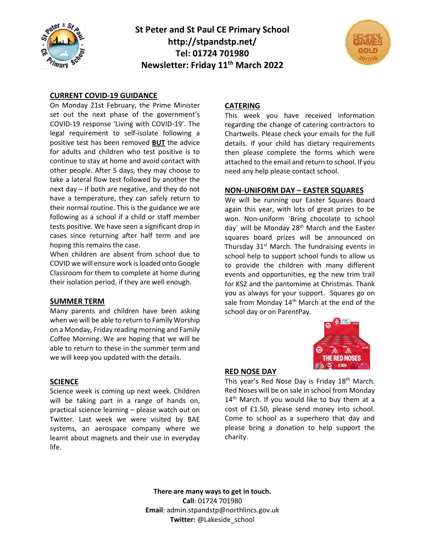

**St Peter and St Paul CE Primary School http://stpandstp.net/ Tel: 01724 701980 Newsletter: Friday 11th March 2022**



## **CURRENT COVID-19 GUIDANCE**

On Monday 21st February, the Prime Minister set out the next phase of the government's COVID-19 response 'Living with COVID-19'. The legal requirement to self-isolate following a positive test has been removed **BUT** the advice for adults and children who test positive is to continue to stay at home and avoid contact with other people. After 5 days, they may choose to take a lateral flow test followed by another the next day – if both are negative, and they do not have a temperature, they can safely return to their normal routine. This is the guidance we are following as a school if a child or staff member tests positive. We have seen a significant drop in cases since returning after half term and are hoping this remains the case.

When children are absent from school due to COVID we will ensure work is loaded onto Google Classroom for them to complete at home during their isolation period, if they are well enough.

#### **SUMMER TERM**

Many parents and children have been asking when we will be able to return to Family Worship on a Monday, Friday reading morning and Family Coffee Morning. We are hoping that we will be able to return to these in the summer term and we will keep you updated with the details.

#### **SCIENCE**

Science week is coming up next week. Children will be taking part in a range of hands on, practical science learning – please watch out on Twitter. Last week we were visited by BAE systems, an aerospace company where we learnt about magnets and their use in everyday life.

## **CATERING**

This week you have received information regarding the change of catering contractors to Chartwells. Please check your emails for the full details. If your child has dietary requirements then please complete the forms which were attached to the email and return to school. If you need any help please contact school.

#### **NON-UNIFORM DAY – EASTER SQUARES**

We will be running our Easter Squares Board again this year, with lots of great prizes to be won. Non-uniform `Bring chocolate to school day' will be Monday 28<sup>th</sup> March and the Easter squares board prizes will be announced on Thursday 31<sup>st</sup> March. The fundraising events in school help to support school funds to allow us to provide the children with many different events and opportunities, eg the new trim trail for KS2 and the pantomime at Christmas. Thank you as always for your support. Squares go on sale from Monday 14<sup>th</sup> March at the end of the school day or on ParentPay.



#### **RED NOSE DAY**

This year's Red Nose Day is Friday 18<sup>th</sup> March. Red Noses will be on sale in school from Monday 14<sup>th</sup> March. If you would like to buy them at a cost of £1.50, please send money into school. Come to school as a superhero that day and please bring a donation to help support the charity.

**There are many ways to get in touch. Call**: 01724 701980 **Email**: admin.stpandstp@northlincs.gov.uk **Twitter:** @Lakeside\_school